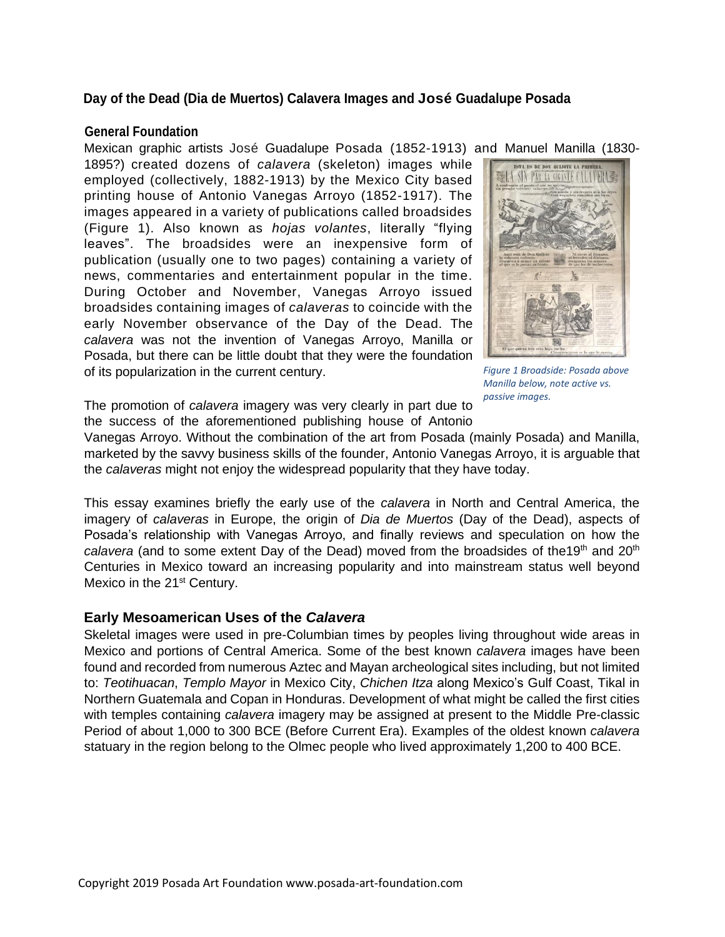# **Day of the Dead (Dia de Muertos) Calavera Images and José Guadalupe Posada**

### **General Foundation**

Mexican graphic artists José Guadalupe Posada (1852-1913) and Manuel Manilla (1830- 1895?) created dozens of *calavera* (skeleton) images while employed (collectively, 1882-1913) by the Mexico City based printing house of Antonio Vanegas Arroyo (1852-1917). The images appeared in a variety of publications called broadsides (Figure 1). Also known as *hojas volantes*, literally "flying leaves". The broadsides were an inexpensive form of publication (usually one to two pages) containing a variety of news, commentaries and entertainment popular in the time. During October and November, Vanegas Arroyo issued broadsides containing images of *calaveras* to coincide with the early November observance of the Day of the Dead. The *calavera* was not the invention of Vanegas Arroyo, Manilla or Posada, but there can be little doubt that they were the foundation of its popularization in the current century.



*Figure 1 Broadside: Posada above Manilla below, note active vs. passive images.*

The promotion of *calavera* imagery was very clearly in part due to the success of the aforementioned publishing house of Antonio

Vanegas Arroyo. Without the combination of the art from Posada (mainly Posada) and Manilla, marketed by the savvy business skills of the founder, Antonio Vanegas Arroyo, it is arguable that the *calaveras* might not enjoy the widespread popularity that they have today.

This essay examines briefly the early use of the *calavera* in North and Central America, the imagery of *calaveras* in Europe, the origin of *Dia de Muertos* (Day of the Dead), aspects of Posada's relationship with Vanegas Arroyo, and finally reviews and speculation on how the calavera (and to some extent Day of the Dead) moved from the broadsides of the19<sup>th</sup> and 20<sup>th</sup> Centuries in Mexico toward an increasing popularity and into mainstream status well beyond Mexico in the 21<sup>st</sup> Century.

## **Early Mesoamerican Uses of the** *Calavera*

Skeletal images were used in pre-Columbian times by peoples living throughout wide areas in Mexico and portions of Central America. Some of the best known *calavera* images have been found and recorded from numerous Aztec and Mayan archeological sites including, but not limited to: *Teotihuacan*, *Templo Mayor* in Mexico City, *Chichen Itza* along Mexico's Gulf Coast, Tikal in Northern Guatemala and Copan in Honduras. Development of what might be called the first cities with temples containing *calavera* imagery may be assigned at present to the Middle Pre-classic Period of about 1,000 to 300 BCE (Before Current Era). Examples of the oldest known *calavera* statuary in the region belong to the Olmec people who lived approximately 1,200 to 400 BCE.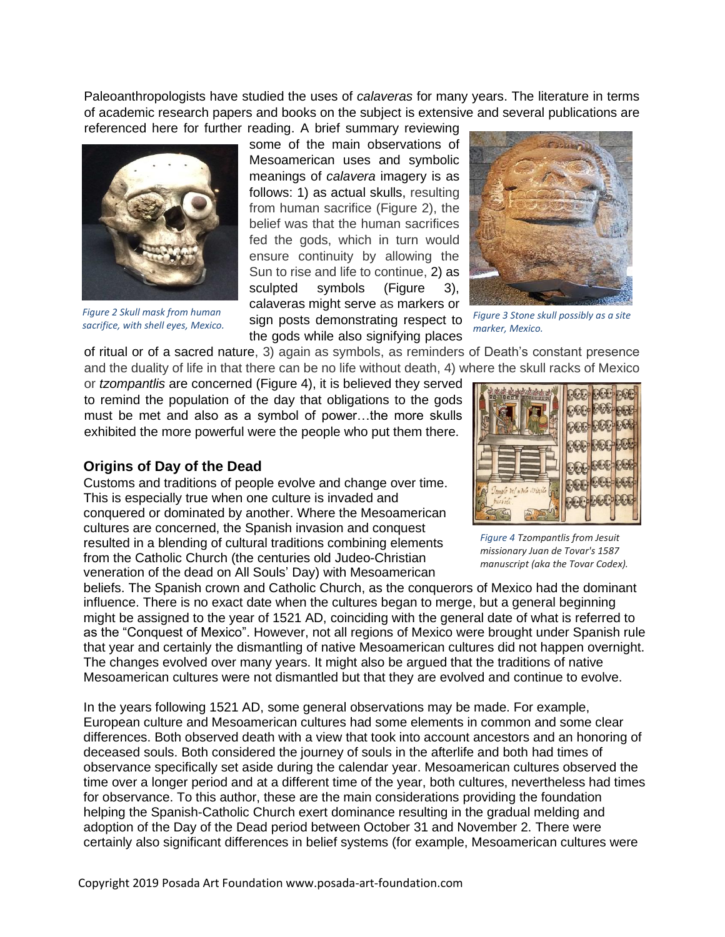Paleoanthropologists have studied the uses of *calaveras* for many years. The literature in terms of academic research papers and books on the subject is extensive and several publications are referenced here for further reading. A brief summary reviewing



*Figure 2 Skull mask from human sacrifice, with shell eyes, Mexico.*

some of the main observations of Mesoamerican uses and symbolic meanings of *calavera* imagery is as follows: 1) as actual skulls, resulting from human sacrifice (Figure 2), the belief was that the human sacrifices fed the gods, which in turn would ensure continuity by allowing the Sun to rise and life to continue, 2) as sculpted symbols (Figure 3), calaveras might serve as markers or sign posts demonstrating respect to the gods while also signifying places



*Figure 3 Stone skull possibly as a site marker, Mexico.*

of ritual or of a sacred nature, 3) again as symbols, as reminders of Death's constant presence and the duality of life in that there can be no life without death, 4) where the skull racks of Mexico

or *tzompantlis* are concerned (Figure 4), it is believed they served to remind the population of the day that obligations to the gods must be met and also as a symbol of power…the more skulls exhibited the more powerful were the people who put them there.

#### **Origins of Day of the Dead**

Customs and traditions of people evolve and change over time. This is especially true when one culture is invaded and conquered or dominated by another. Where the Mesoamerican cultures are concerned, the Spanish invasion and conquest resulted in a blending of cultural traditions combining elements from the Catholic Church (the centuries old Judeo-Christian veneration of the dead on All Souls' Day) with Mesoamerican



*Figure 4 Tzompantlis from Jesuit missionary Juan de Tovar's 1587 manuscript (aka the Tovar Codex).*

beliefs. The Spanish crown and Catholic Church, as the conquerors of Mexico had the dominant influence. There is no exact date when the cultures began to merge, but a general beginning might be assigned to the year of 1521 AD, coinciding with the general date of what is referred to as the "Conquest of Mexico". However, not all regions of Mexico were brought under Spanish rule that year and certainly the dismantling of native Mesoamerican cultures did not happen overnight. The changes evolved over many years. It might also be argued that the traditions of native Mesoamerican cultures were not dismantled but that they are evolved and continue to evolve.

In the years following 1521 AD, some general observations may be made. For example, European culture and Mesoamerican cultures had some elements in common and some clear differences. Both observed death with a view that took into account ancestors and an honoring of deceased souls. Both considered the journey of souls in the afterlife and both had times of observance specifically set aside during the calendar year. Mesoamerican cultures observed the time over a longer period and at a different time of the year, both cultures, nevertheless had times for observance. To this author, these are the main considerations providing the foundation helping the Spanish-Catholic Church exert dominance resulting in the gradual melding and adoption of the Day of the Dead period between October 31 and November 2. There were certainly also significant differences in belief systems (for example, Mesoamerican cultures were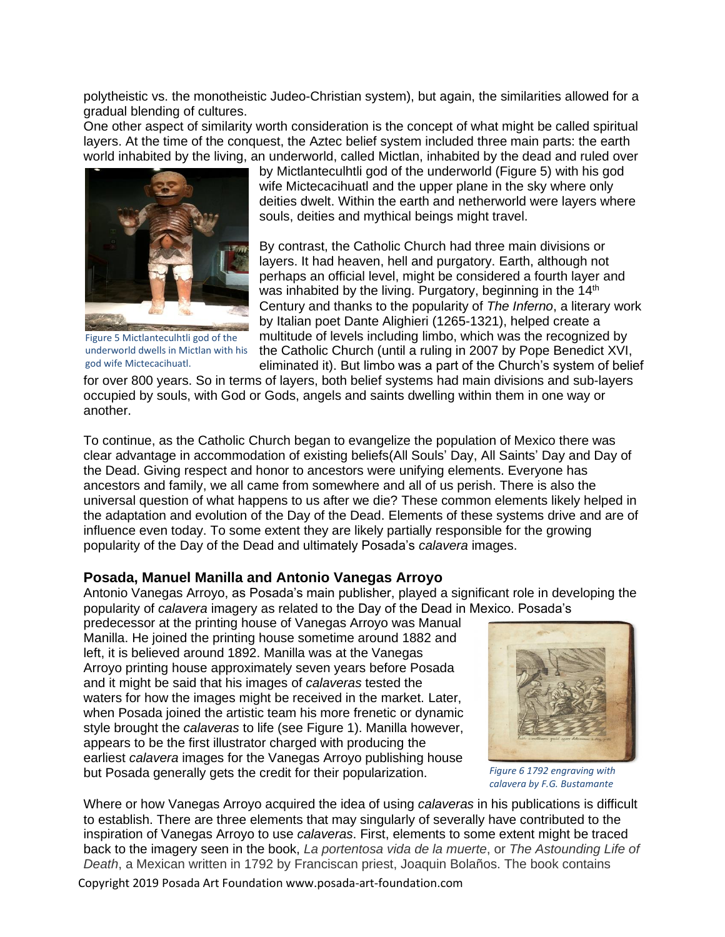polytheistic vs. the monotheistic Judeo-Christian system), but again, the similarities allowed for a gradual blending of cultures.

One other aspect of similarity worth consideration is the concept of what might be called spiritual layers. At the time of the conquest, the Aztec belief system included three main parts: the earth world inhabited by the living, an underworld, called Mictlan, inhabited by the dead and ruled over



Figure 5 Mictlanteculhtli god of the underworld dwells in Mictlan with his god wife Mictecacihuatl.

by Mictlanteculhtli god of the underworld (Figure 5) with his god wife Mictecacihuatl and the upper plane in the sky where only deities dwelt. Within the earth and netherworld were layers where souls, deities and mythical beings might travel.

By contrast, the Catholic Church had three main divisions or layers. It had heaven, hell and purgatory. Earth, although not perhaps an official level, might be considered a fourth layer and was inhabited by the living. Purgatory, beginning in the 14<sup>th</sup> Century and thanks to the popularity of *The Inferno*, a literary work by Italian poet Dante Alighieri (1265-1321), helped create a multitude of levels including limbo, which was the recognized by the Catholic Church (until a ruling in 2007 by Pope Benedict XVI, eliminated it). But limbo was a part of the Church's system of belief

for over 800 years. So in terms of layers, both belief systems had main divisions and sub-layers occupied by souls, with God or Gods, angels and saints dwelling within them in one way or another.

To continue, as the Catholic Church began to evangelize the population of Mexico there was clear advantage in accommodation of existing beliefs(All Souls' Day, All Saints' Day and Day of the Dead. Giving respect and honor to ancestors were unifying elements. Everyone has ancestors and family, we all came from somewhere and all of us perish. There is also the universal question of what happens to us after we die? These common elements likely helped in the adaptation and evolution of the Day of the Dead. Elements of these systems drive and are of influence even today. To some extent they are likely partially responsible for the growing popularity of the Day of the Dead and ultimately Posada's *calavera* images.

#### **Posada, Manuel Manilla and Antonio Vanegas Arroyo**

Antonio Vanegas Arroyo, as Posada's main publisher, played a significant role in developing the popularity of *calavera* imagery as related to the Day of the Dead in Mexico. Posada's

predecessor at the printing house of Vanegas Arroyo was Manual Manilla. He joined the printing house sometime around 1882 and left, it is believed around 1892. Manilla was at the Vanegas Arroyo printing house approximately seven years before Posada and it might be said that his images of *calaveras* tested the waters for how the images might be received in the market. Later, when Posada joined the artistic team his more frenetic or dynamic style brought the *calaveras* to life (see Figure 1). Manilla however, appears to be the first illustrator charged with producing the earliest *calavera* images for the Vanegas Arroyo publishing house but Posada generally gets the credit for their popularization.



*Figure 6 1792 engraving with calavera by F.G. Bustamante* 

Where or how Vanegas Arroyo acquired the idea of using *calaveras* in his publications is difficult to establish. There are three elements that may singularly of severally have contributed to the inspiration of Vanegas Arroyo to use *calaveras*. First, elements to some extent might be traced back to the imagery seen in the book, *La portentosa vida de la muerte*, or *The Astounding Life of Death*, a Mexican written in 1792 by Franciscan priest, Joaquin Bolaños. The book contains

Copyright 2019 Posada Art Foundation www.posada-art-foundation.com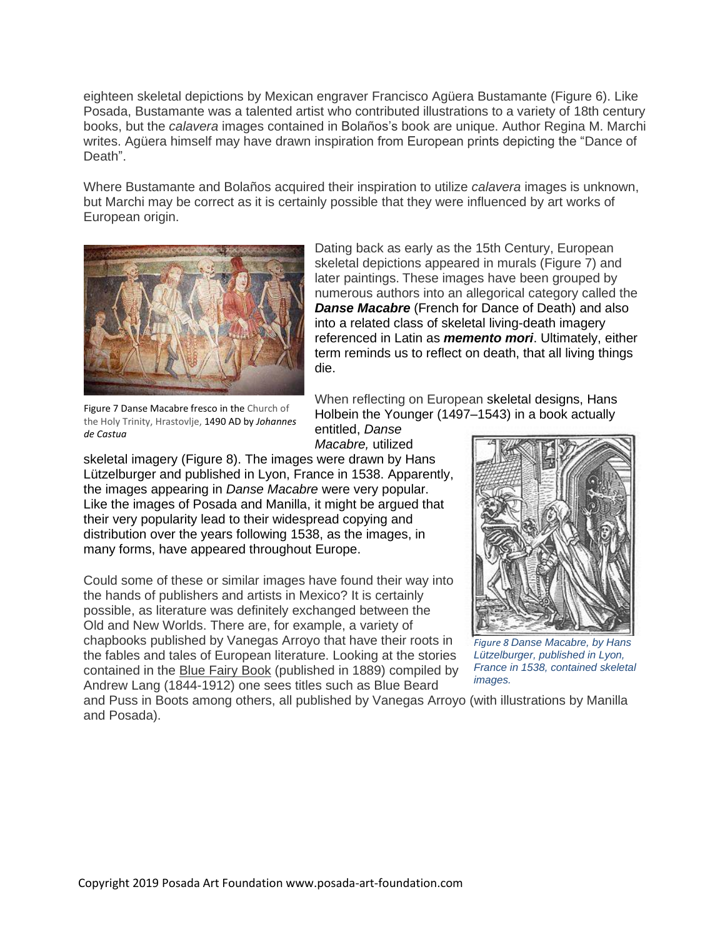eighteen skeletal depictions by Mexican engraver Francisco Agüera Bustamante (Figure 6). Like Posada, Bustamante was a talented artist who contributed illustrations to a variety of 18th century books, but the *calavera* images contained in Bolaños's book are unique. Author Regina M. Marchi [writes.](https://books.google.com/books?id=YmQMOVGTQGQC&pg=PA47&lpg=PA47&dq=Fray+Joaquin+Bola%C3%B1os+day+of+the+dead&source=bl&ots=3Odk9xu6L1&sig=mCIEpnqFMe8pOIme1SJYzWNqjC0&hl=en&sa=X&ved=0ahUKEwjbqNKen6zTAhVm44MKHV4LDHUQ6AEIKTAB#v=onepage&q=Fray%20Joaquin%20Bola%C3%B1os%20day%20of%20the%20dead&f=false) Agüera himself may have drawn inspiration from European prints depicting the ["Dance of](https://hyperallergic.com/331875/lubeck-danse-macabre-chapel/)  [Death"](https://hyperallergic.com/331875/lubeck-danse-macabre-chapel/).

Where Bustamante and Bolaños acquired their inspiration to utilize *calavera* images is unknown, but Marchi may be correct as it is certainly possible that they were influenced by art works of European origin.



Dating back as early as the 15th Century, European skeletal depictions appeared in murals (Figure 7) and later paintings. These images have been grouped by numerous authors into an allegorical category called the *Danse Macabre* (French for Dance of Death) and also into a related class of skeletal living-death imagery referenced in Latin as *memento mori*. Ultimately, either term reminds us to reflect on death, that all living things die.

Figure 7 Danse Macabre fresco in the Church of the Holy Trinity, Hrastovlje, 1490 AD by *Johannes de Castua*

When reflecting on European skeletal designs, Hans Holbein the Younger (1497–1543) in a book actually

entitled, *Danse Macabre,* utilized

skeletal imagery (Figure 8). The images were drawn by Hans Lützelburger and published in Lyon, France in 1538. Apparently, the images appearing in *Danse Macabre* were very popular. Like the images of Posada and Manilla, it might be argued that their very popularity lead to their widespread copying and distribution over the years following 1538, as the images, in many forms, have appeared throughout Europe.

Could some of these or similar images have found their way into the hands of publishers and artists in Mexico? It is certainly possible, as literature was definitely exchanged between the Old and New Worlds. There are, for example, a variety of chapbooks published by Vanegas Arroyo that have their roots in the fables and tales of European literature. Looking at the stories contained in the Blue Fairy Book (published in 1889) compiled by Andrew Lang (1844-1912) one sees titles such as Blue Beard



*Figure 8 [Danse Macabre, by Hans](https://en.wikipedia.org/wiki/File:Holbein_Danse_Macabre_15.jpg)  Lützelburger, published in Lyon, France in 1538, contained skeletal images.*

and Puss in Boots among others, all published by Vanegas Arroyo (with illustrations by Manilla and Posada).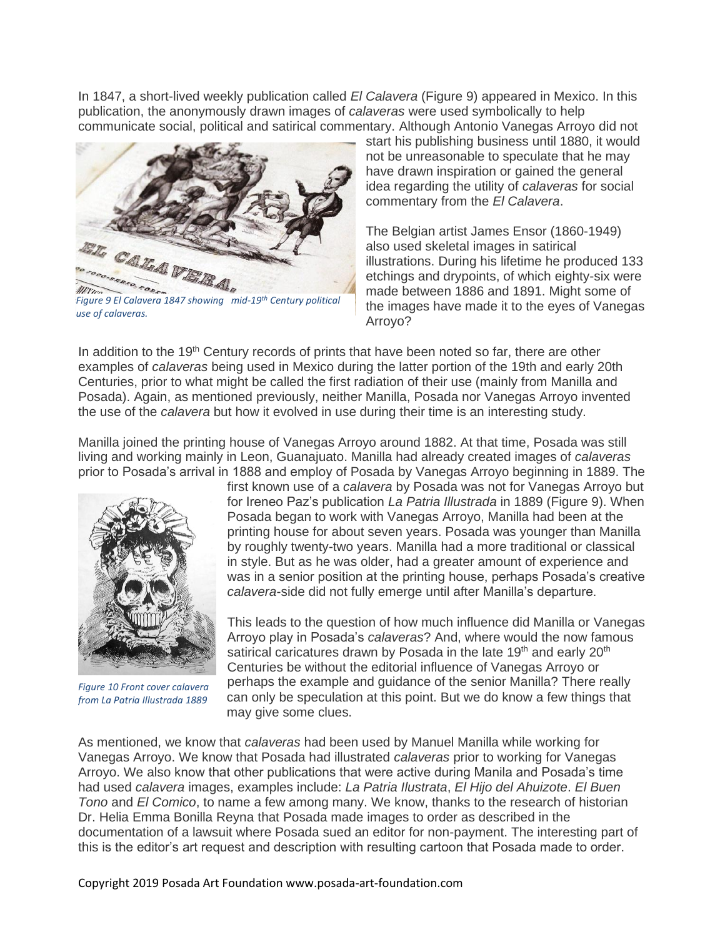In 1847, a short-lived weekly publication called *El Calavera* (Figure 9) appeared in Mexico. In this publication, the anonymously drawn images of *calaveras* were used symbolically to help communicate social, political and satirical commentary. Although Antonio Vanegas Arroyo did not



*use of calaveras.*

start his publishing business until 1880, it would not be unreasonable to speculate that he may have drawn inspiration or gained the general idea regarding the utility of *calaveras* for social commentary from the *El Calavera*.

The Belgian artist James Ensor (1860-1949) also used skeletal images in satirical illustrations. During his lifetime he produced 133 etchings and drypoints, of which eighty-six were made between 1886 and 1891. Might some of the images have made it to the eyes of Vanegas Arroyo?

In addition to the 19<sup>th</sup> Century records of prints that have been noted so far, there are other examples of *calaveras* being used in Mexico during the latter portion of the 19th and early 20th Centuries, prior to what might be called the first radiation of their use (mainly from Manilla and Posada). Again, as mentioned previously, neither Manilla, Posada nor Vanegas Arroyo invented the use of the *calavera* but how it evolved in use during their time is an interesting study.

Manilla joined the printing house of Vanegas Arroyo around 1882. At that time, Posada was still living and working mainly in Leon, Guanajuato. Manilla had already created images of *calaveras* prior to Posada's arrival in 1888 and employ of Posada by Vanegas Arroyo beginning in 1889. The



*Figure 10 Front cover calavera from La Patria Illustrada 1889*

first known use of a *calavera* by Posada was not for Vanegas Arroyo but for Ireneo Paz's publication *La Patria Illustrada* in 1889 (Figure 9). When Posada began to work with Vanegas Arroyo, Manilla had been at the printing house for about seven years. Posada was younger than Manilla by roughly twenty-two years. Manilla had a more traditional or classical in style. But as he was older, had a greater amount of experience and was in a senior position at the printing house, perhaps Posada's creative *calavera*-side did not fully emerge until after Manilla's departure.

This leads to the question of how much influence did Manilla or Vanegas Arroyo play in Posada's *calaveras*? And, where would the now famous satirical caricatures drawn [by Posada](https://publicdomainreview.org/collections/the-calaveras-of-jose-guadalupe-posada/) in the late 19<sup>th</sup> and early 20<sup>th</sup> Centuries be without the editorial influence of Vanegas Arroyo or perhaps the example and guidance of the senior Manilla? There really can only be speculation at this point. But we do know a few things that may give some clues.

As mentioned, we know that *calaveras* had been used by Manuel Manilla while working for Vanegas Arroyo. We know that Posada had illustrated *calaveras* prior to working for Vanegas Arroyo. We also know that other publications that were active during Manila and Posada's time had used *calavera* images, examples include: *La Patria Ilustrata*, *El Hijo del Ahuizote*. *El Buen Tono* and *El Comico*, to name a few among many. We know, thanks to the research of historian Dr. Helia Emma Bonilla Reyna that Posada made images to order as described in the documentation of a lawsuit where Posada sued an editor for non-payment. The interesting part of this is the editor's art request and description with resulting cartoon that Posada made to order.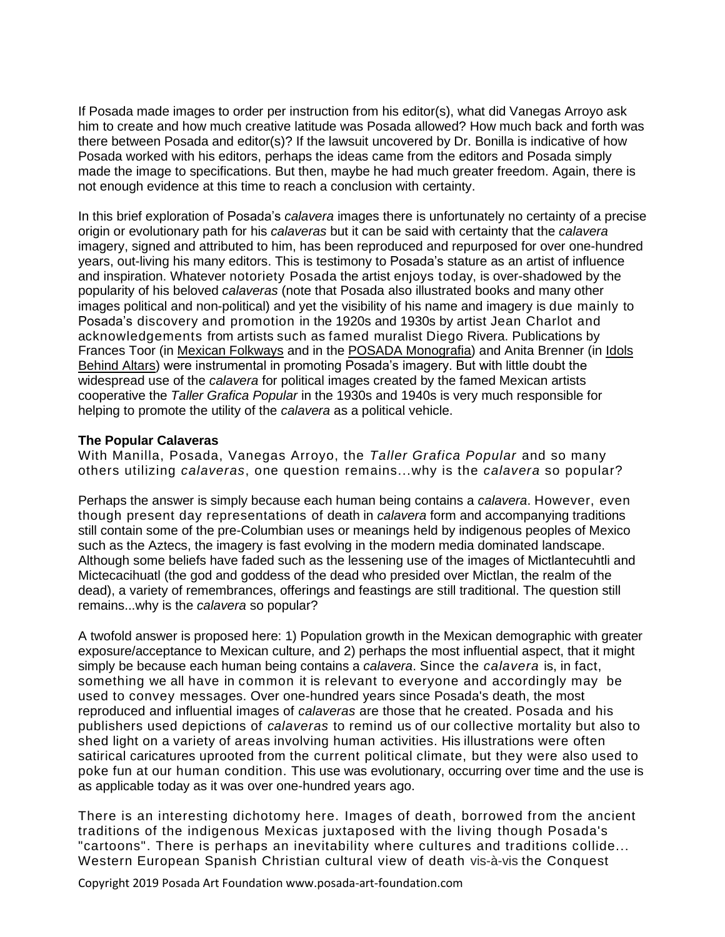If Posada made images to order per instruction from his editor(s), what did Vanegas Arroyo ask him to create and how much creative latitude was Posada allowed? How much back and forth was there between Posada and editor(s)? If the lawsuit uncovered by Dr. Bonilla is indicative of how Posada worked with his editors, perhaps the ideas came from the editors and Posada simply made the image to specifications. But then, maybe he had much greater freedom. Again, there is not enough evidence at this time to reach a conclusion with certainty.

In this brief exploration of Posada's *calavera* images there is unfortunately no certainty of a precise origin or evolutionary path for his *calaveras* but it can be said with certainty that the *calavera* imagery, signed and attributed to him, has been reproduced and repurposed for over one-hundred years, out-living his many editors. This is testimony to Posada's stature as an artist of influence and inspiration. Whatever notoriety Posada the artist enjoys today, is over-shadowed by the popularity of his beloved *calaveras* (note that Posada also illustrated books and many other images political and non-political) and yet the visibility of his name and imagery is due mainly to Posada's discovery and promotion in the 1920s and 1930s by artist Jean Charlot and acknowledgements from artists such as famed muralist Diego Rivera. Publications by Frances Toor (in Mexican Folkways and in the POSADA Monografia) and Anita Brenner (in Idols Behind Altars) were instrumental in promoting Posada's imagery. But with little doubt the widespread use of the *calavera* for political images created by the famed Mexican artists cooperative the *Taller Grafica Popular* in the 1930s and 1940s is very much responsible for helping to promote the utility of the *calavera* as a political vehicle.

#### **The Popular Calaveras**

With Manilla, Posada, Vanegas Arroyo, the *Taller Grafica Popular* and so many others utilizing *calaveras*, one question remains...why is the *calavera* so popular?

Perhaps the answer is simply because each human being contains a *calavera*. However, even though present day representations of death in *calavera* form and accompanying traditions still contain some of the pre-Columbian uses or meanings held by indigenous peoples of Mexico such as the Aztecs, the imagery is fast evolving in the modern media dominated landscape. Although some beliefs have faded such as the lessening use of the images of Mictlantecuhtli and Mictecacihuatl (the god and goddess of the dead who presided over Mictlan, the realm of the dead), a variety of remembrances, offerings and feastings are still traditional. The question still remains...why is the *calavera* so popular?

A twofold answer is proposed here: 1) Population growth in the Mexican demographic with greater exposure/acceptance to Mexican culture, and 2) perhaps the most influential aspect, that it might simply be because each human being contains a *calavera*. Since the *calavera* is, in fact, something we all have in common it is relevant to everyone and accordingly may be used to convey messages. Over one-hundred years since Posada's death, the most reproduced and influential images of *calaveras* are those that he created. Posada and his publishers used depictions of *calaveras* to remind us of our collective mortality but also to shed light on a variety of areas involving human activities. His illustrations were often satirical caricatures uprooted from the current political climate, but they were also used to poke fun at our human condition. This use was evolutionary, occurring over time and the use is as applicable today as it was over one-hundred years ago.

There is an interesting dichotomy here. Images of death, borrowed from the ancient traditions of the indigenous Mexicas juxtaposed with the living though Posada's "cartoons". There is perhaps an inevitability where cultures and traditions collide... Western European Spanish Christian cultural view of death vis-à-vis the Conquest

Copyright 2019 Posada Art Foundation www.posada-art-foundation.com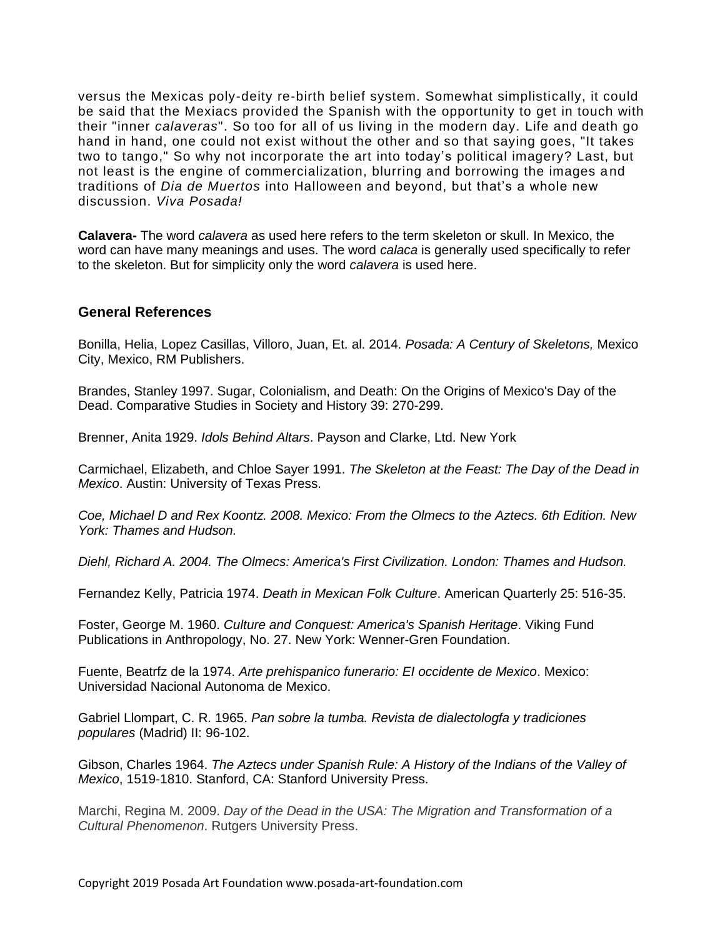versus the Mexicas poly-deity re-birth belief system. Somewhat simplistically, it could be said that the Mexiacs provided the Spanish with the opportunity to get in touch with their "inner *calaveras*". So too for all of us living in the modern day. Life and death go hand in hand, one could not exist without the other and so that saying goes, "It takes two to tango," So why not incorporate the art into today's political imagery? Last, but not least is the engine of commercialization, blurring and borrowing the images and traditions of *Dia de Muertos* into Halloween and beyond, but that's a whole new discussion. *Viva Posada!*

**Calavera-** The word *calavera* as used here refers to the term skeleton or skull. In Mexico, the word can have many meanings and uses. The word *calaca* is generally used specifically to refer to the skeleton. But for simplicity only the word *calavera* is used here.

#### **General References**

Bonilla, Helia, Lopez Casillas, Villoro, Juan, Et. al. 2014. *Posada: A Century of Skeletons,* Mexico City, Mexico, RM Publishers.

Brandes, Stanley 1997. Sugar, Colonialism, and Death: On the Origins of Mexico's Day of the Dead. Comparative Studies in Society and History 39: 270-299.

Brenner, Anita 1929. *Idols Behind Altars*. Payson and Clarke, Ltd. New York

Carmichael, Elizabeth, and Chloe Sayer 1991. *The Skeleton at the Feast: The Day of the Dead in Mexico*. Austin: University of Texas Press.

*Coe, Michael D and Rex Koontz. 2008. Mexico: From the Olmecs to the Aztecs. 6th Edition. New York: Thames and Hudson.*

*Diehl, Richard A. 2004. The Olmecs: America's First Civilization. London: Thames and Hudson.*

Fernandez Kelly, Patricia 1974. *Death in Mexican Folk Culture*. American Quarterly 25: 516-35.

Foster, George M. 1960. *Culture and Conquest: America's Spanish Heritage*. Viking Fund Publications in Anthropology, No. 27. New York: Wenner-Gren Foundation.

Fuente, Beatrfz de la 1974. *Arte prehispanico funerario: EI occidente de Mexico*. Mexico: Universidad Nacional Autonoma de Mexico.

Gabriel Llompart, C. R. 1965. *Pan sobre la tumba. Revista de dialectologfa y tradiciones populares* (Madrid) II: 96-102.

Gibson, Charles 1964. *The Aztecs under Spanish Rule: A History of the Indians of the Valley of Mexico*, 1519-1810. Stanford, CA: Stanford University Press.

Marchi, Regina M. 2009. *Day of the Dead in the USA: The Migration and Transformation of a Cultural Phenomenon*. Rutgers University Press.